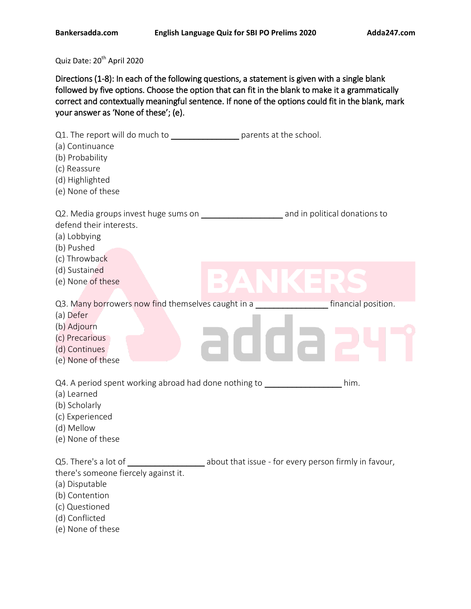Quiz Date: 20<sup>th</sup> April 2020

Directions (1-8): In each of the following questions, a statement is given with a single blank followed by five options. Choose the option that can fit in the blank to make it a grammatically correct and contextually meaningful sentence. If none of the options could fit in the blank, mark your answer as 'None of these'; (e).

| Q1. The report will do much to parents at the school.<br>(a) Continuance<br>(b) Probability<br>(c) Reassure<br>(d) Highlighted<br>(e) None of these        |                                                       |                             |
|------------------------------------------------------------------------------------------------------------------------------------------------------------|-------------------------------------------------------|-----------------------------|
| defend their interests.<br>(a) Lobbying<br>(b) Pushed<br>(c) Throwback                                                                                     |                                                       |                             |
| (d) Sustained<br>(e) None of these                                                                                                                         | $\Box$                                                | $\mathcal{L}_{\mathcal{A}}$ |
| Q3. Many borrowers now find themselves caught in a<br>(a) Defer<br>(b) Adjourn<br>(c) Precarious<br>(d) Continues<br>(e) None of these                     |                                                       | financial position.         |
| Q4. A period spent working abroad had done nothing to ______________<br>(a) Learned<br>(b) Scholarly<br>(c) Experienced<br>(d) Mellow<br>(e) None of these |                                                       | him.                        |
| Q5. There's a lot of<br>there's someone fiercely against it.<br>(a) Disputable<br>(b) Contention<br>(c) Questioned<br>(d) Conflicted<br>(e) None of these  | about that issue - for every person firmly in favour, |                             |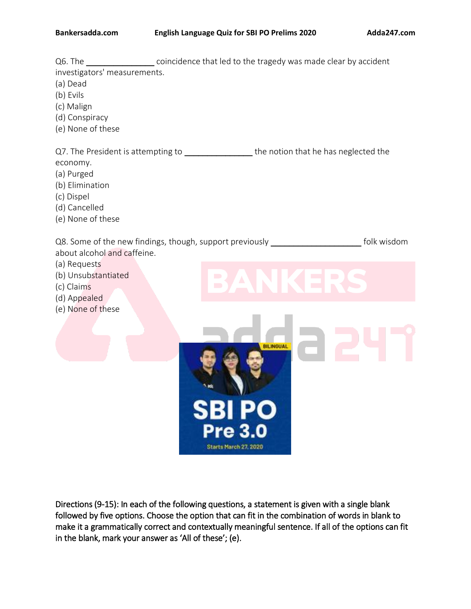Q6. The coincidence that led to the tragedy was made clear by accident investigators' measurements. (a) Dead (b) Evils (c) Malign (d) Conspiracy (e) None of these Q7. The President is attempting to \_\_\_\_\_\_\_\_\_\_\_\_\_\_\_\_\_\_\_the notion that he has neglected the economy. (a) Purged (b) Elimination (c) Dispel (d) Cancelled (e) None of these Q8. Some of the new findings, though, support previously entitled and the state of folk wisdom about alcohol and caffeine. (a) Requests (b) Unsubstantiated (c) Claims (d) Appealed (e) None of these BILINGUAL Starts March 27, 2020

Directions (9-15): In each of the following questions, a statement is given with a single blank followed by five options. Choose the option that can fit in the combination of words in blank to make it a grammatically correct and contextually meaningful sentence. If all of the options can fit in the blank, mark your answer as 'All of these'; (e).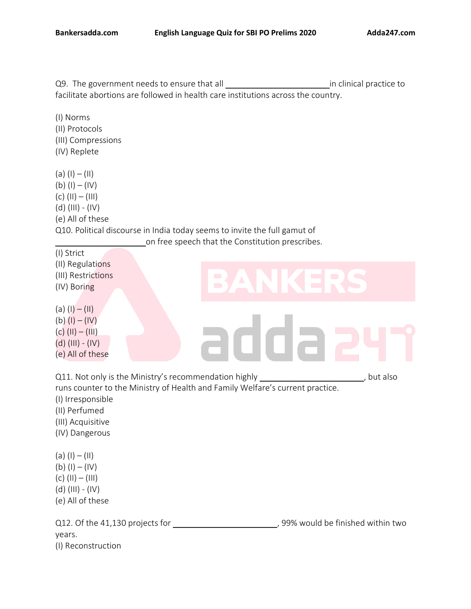(II) Regulations (III) Restrictions (IV) Boring

(a)  $(I) - (II)$ (b)  $(I) - (IV)$ 

Q9. The government needs to ensure that all \_\_\_\_\_\_\_\_\_\_\_\_\_\_\_\_\_\_\_\_\_\_\_in clinical practice to facilitate abortions are followed in health care institutions across the country.

(I) Norms (II) Protocols (III) Compressions (IV) Replete

(a)  $(I) - (II)$ (b)  $(I) - (IV)$ (c)  $(11) - (111)$  $(d)$  (III) - (IV) (e) All of these Q10. Political discourse in India today seems to invite the full gamut of on free speech that the Constitution prescribes. (I) Strict

adda  $(c)$  (II) – (III) (d) (III) - (IV) (e) All of these Q11. Not only is the Ministry's recommendation highly \_\_\_\_\_\_\_\_\_\_\_\_\_\_\_\_\_\_\_\_\_\_\_\_, but also runs counter to the Ministry of Health and Family Welfare's current practice. (I) Irresponsible (II) Perfumed (III) Acquisitive (IV) Dangerous (a)  $(I) - (II)$ (b)  $(I) - (IV)$ (c) (II) – (III)  $(d)$  (III) - (IV) (e) All of these Q12. Of the 41,130 projects for  $\qquad \qquad$ , 99% would be finished within two years.

(I) Reconstruction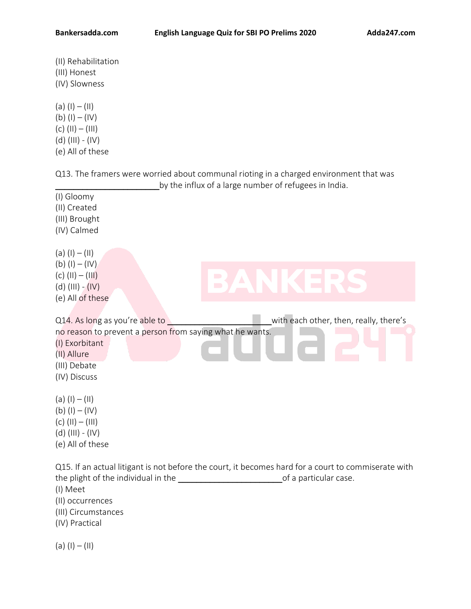- (II) Rehabilitation (III) Honest (IV) Slowness
- (a)  $(I) (II)$ (b)  $(I) - (IV)$ (c)  $(11) - (111)$ (d) (III) - (IV) (e) All of these

Q13. The framers were worried about communal rioting in a charged environment that was Ly the influx of a large number of refugees in India.

| (I) Gloomy<br>(II) Created                                                                           |                                                                                                     |
|------------------------------------------------------------------------------------------------------|-----------------------------------------------------------------------------------------------------|
| (III) Brought                                                                                        |                                                                                                     |
| (IV) Calmed                                                                                          |                                                                                                     |
| (a) $(I) - (II)$<br>(b) $(I) - (IV)$<br>(c) $(11) - (111)$<br>(d) $(III) - (IV)$<br>(e) All of these | $\blacksquare$<br>$\overline{\phantom{a}}$<br>$\blacksquare$                                        |
| Q14. As long as you're able to                                                                       | with each other, then, really, there's                                                              |
| no reason to prevent a person from saying what he wants.                                             |                                                                                                     |
| (I) Exorbitant<br>(II) Allure                                                                        |                                                                                                     |
| (III) Debate                                                                                         |                                                                                                     |
| (IV) Discuss                                                                                         |                                                                                                     |
| (a) $(I) - (II)$                                                                                     |                                                                                                     |
| (b) $(I) - (IV)$                                                                                     |                                                                                                     |
| (c) $(11) - (111)$                                                                                   |                                                                                                     |
| $(d)$ (III) - (IV)                                                                                   |                                                                                                     |
| (e) All of these                                                                                     |                                                                                                     |
|                                                                                                      | Q15. If an actual litigant is not before the court, it becomes hard for a court to commiserate with |

Q15. If an actual litigant is not before the court, it becomes hard for a court to commiserate with the plight of the individual in the \_\_\_\_\_\_\_\_\_\_\_\_\_\_\_\_\_\_\_\_\_\_\_\_\_\_\_\_\_\_\_\_of a particular case. (I) Meet

- (II) occurrences
- (III) Circumstances
- (IV) Practical

(a)  $(I) - (II)$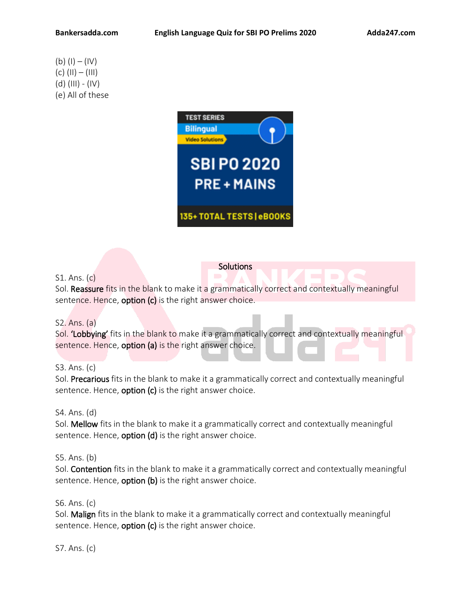# (b)  $(I) - (IV)$ (c) (II) – (III) (d) (III) - (IV) (e) All of these



## S1. Ans. (c)

Sol. Reassure fits in the blank to make it a grammatically correct and contextually meaningful sentence. Hence, option (c) is the right answer choice.

Solutions

## S2. Ans. (a)

Sol. 'Lobbying' fits in the blank to make it a grammatically correct and contextually meaningful sentence. Hence, **option (a)** is the right answer choice.

#### S3. Ans. (c)

Sol. Precarious fits in the blank to make it a grammatically correct and contextually meaningful sentence. Hence,  $option (c)$  is the right answer choice.

#### S4. Ans. (d)

Sol. Mellow fits in the blank to make it a grammatically correct and contextually meaningful sentence. Hence, **option (d)** is the right answer choice.

#### S5. Ans. (b)

Sol. Contention fits in the blank to make it a grammatically correct and contextually meaningful sentence. Hence, **option (b)** is the right answer choice.

#### S6. Ans. (c)

Sol. Malign fits in the blank to make it a grammatically correct and contextually meaningful sentence. Hence,  $option (c)$  is the right answer choice.

S7. Ans. (c)